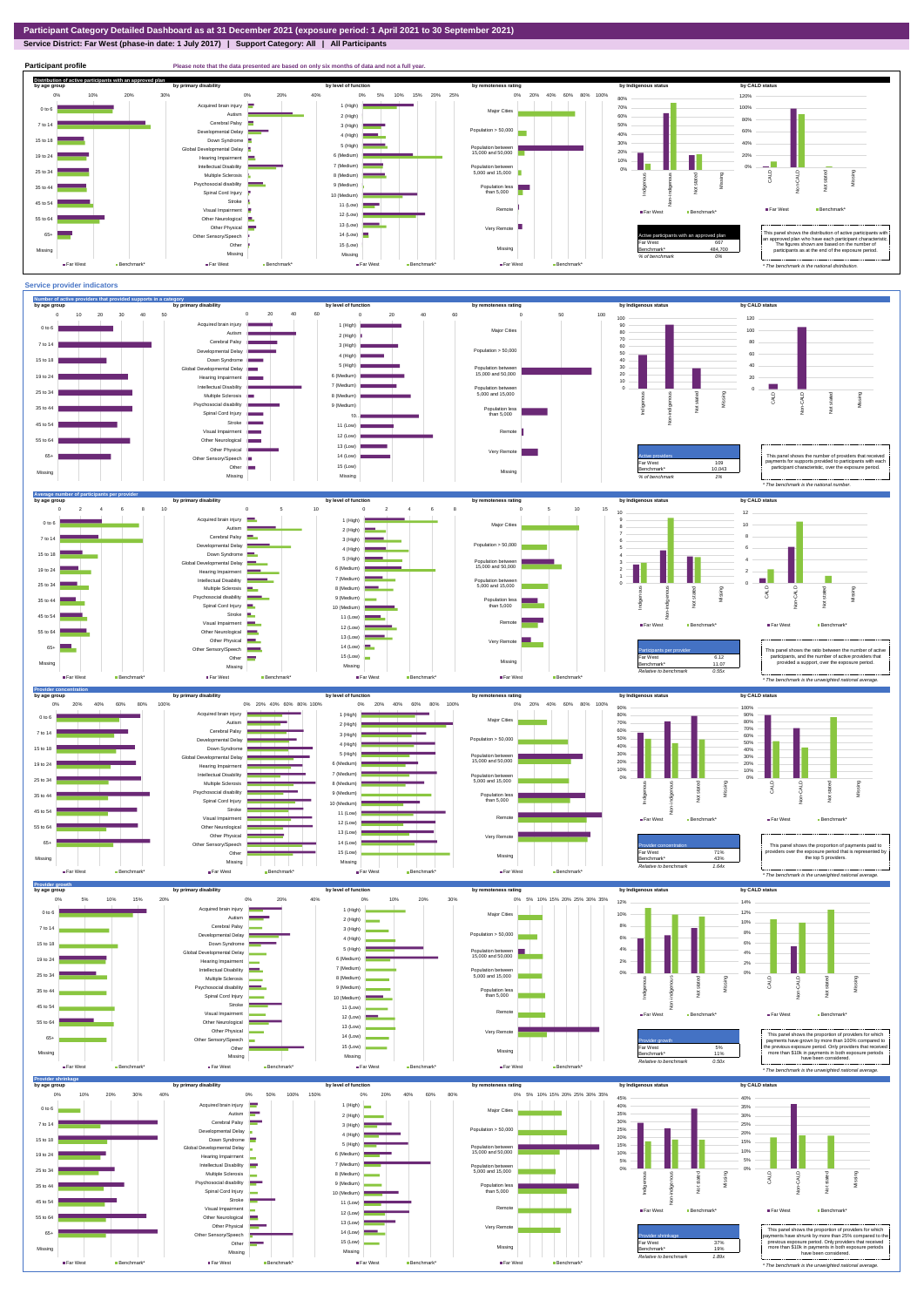## **Service District: Far West (phase-in date: 1 July 2017) | Support Category: All | All Participants**



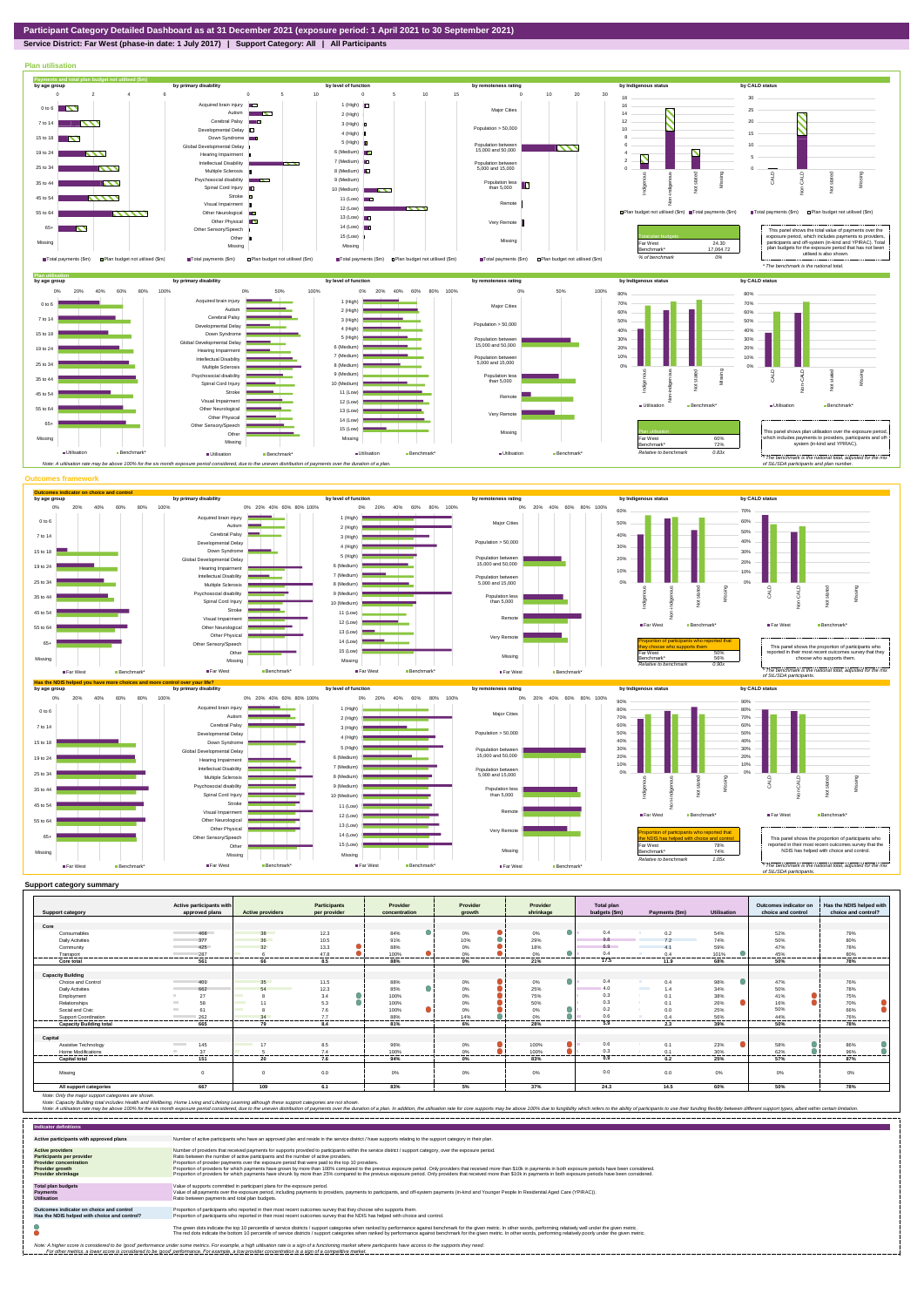**Service District: Far West (phase-in date: 1 July 2017) | Support Category: All | All Participants**



| <b>Support category</b>        | Active participants with<br>approved plans | <b>Active providers</b>        | <b>Participants</b><br>per provider | Provider             | Provider                       | Provider<br>shrinkage    | <b>Total plan</b><br>budgets (\$m) | Payments (\$m)         | <b>Utilisation</b> | Outcomes indicator on<br>choice and control | Has the NDIS helped with<br>choice and control? |
|--------------------------------|--------------------------------------------|--------------------------------|-------------------------------------|----------------------|--------------------------------|--------------------------|------------------------------------|------------------------|--------------------|---------------------------------------------|-------------------------------------------------|
|                                |                                            |                                |                                     | concentration        | arowth                         |                          |                                    |                        |                    |                                             |                                                 |
| Core                           |                                            |                                |                                     |                      |                                |                          |                                    |                        |                    |                                             |                                                 |
| Consumables                    | 468                                        | 38                             | 12.3                                | 84%                  | 0%                             | 0<br>$0\%$               | 0.4                                | 0.2                    | 54%                | 52%                                         | 79%                                             |
| <b>Daily Activities</b>        | 377                                        | 36                             | 10.5                                | 91%                  | 10%                            | 29%                      | 9.8                                | 7.2                    | 74%                | 50%                                         | 80%                                             |
| Community                      | 425                                        | 32                             | 13.3                                | 88%                  | 0%                             | 18%                      | 6.9                                | A <sub>1</sub>         | 59%                | 47%                                         | 78%                                             |
| Transport                      | 287                                        |                                | 47.8                                | 100%                 | 0%                             | 0%                       | 0.4                                | $0\Delta$              | 101%               | 45%                                         | 80%                                             |
| Core total                     | <del></del><br>561                         | -------<br>66                  | ---------<br>--------<br>8.5        | <br>---------<br>88% | .<br>0%                        | <br>-------------<br>21% | <br>17.5                           | --------<br>11.9       | <br>68%            | <br>50%                                     | <br>78%                                         |
|                                |                                            |                                |                                     |                      |                                |                          |                                    |                        |                    |                                             |                                                 |
| <b>Capacity Building</b>       |                                            |                                |                                     |                      |                                | $\bullet$                |                                    |                        |                    |                                             |                                                 |
| Choice and Control             | 401                                        | 35                             | 11.5                                | 88%<br>۸             | 0%                             | $0\%$                    | 0.4                                | 0.4<br><b>Contract</b> | 98%                | 47%                                         | 76%                                             |
| <b>Daily Activities</b>        | 662                                        | 54<br><b>Service Service</b>   | 12.3                                | 85%                  | 0%                             | 25%                      | 4.0                                | 1.4                    | 34%                | 50%                                         | 78%                                             |
| Employment                     | 27                                         | <b>Contract Contract</b>       | 3.4                                 | 100%                 | 0%                             | 75%                      | 0.3                                | 0.1                    | 38%                | 41%                                         | 75%                                             |
| Relationships                  | 58                                         | 11                             | 5.3                                 | 100%                 | 0%                             | 50%                      | 0.3                                | 0.1                    | 26%                | 16%                                         | 70%                                             |
| Social and Civic               | 61                                         | <b>Contract</b>                | 7.6                                 | 100%                 | 0%                             | 0%                       | 0.2                                | 0.0                    | 25%                | 50%                                         | 66%                                             |
| <b>Support Coordination</b>    | 262                                        | 34                             | 7.7                                 | 88%                  | 14%                            | 0%                       | 0.6                                | 0.4                    | 56%                | 44%                                         | 76%                                             |
| <b>Capacity Building total</b> | 665                                        | 79                             | 8.4                                 | 81%                  | 6%                             | 28%                      | 5.9                                | 2.3                    | 39%                | 50%                                         | 78%                                             |
| Capital                        |                                            |                                |                                     |                      |                                |                          |                                    |                        |                    |                                             |                                                 |
| Assistive Technology           | 145<br><b>Contract Contract</b>            | 17<br><b>Contract Contract</b> | 8.5                                 | 96%                  | 0%                             | 100%                     | 0.6                                | 0.1                    | 23%                | 58%                                         | 86%                                             |
| Home Modifications             | 37                                         |                                | 7.4                                 | 100%                 | 0%                             | 100%                     | 0.3                                | 0.1                    | 30%                | 62%                                         | 96%                                             |
| <b>Capital total</b>           | .<br>151                                   | .<br>20                        | .<br>7.6                            | .<br>94%             | --------<br>------------<br>0% | .<br>83%                 | <br>0.9                            | ----------<br>0.2      | <br>25%            | <br>57%                                     | -------<br>87%                                  |
| Missing                        |                                            | $\mathbf 0$                    | 0.0                                 | 0%                   | 0%                             | 0%                       | 0.0                                | 0.0                    | $0\%$              | 0%                                          | 0%                                              |
| All support categories         | 667                                        | 109                            | 6.1                                 | 83%                  | 5%                             | 37%                      | 24.3                               | 14.5                   | 60%                | 50%                                         | 78%                                             |

| <b>Indicator definitions</b>                                                                                                                        |                                                                                                                                                                                                                                                                                                                                                                                                                                                                                                                                                                                                                                                                                                                                                                                                                 |
|-----------------------------------------------------------------------------------------------------------------------------------------------------|-----------------------------------------------------------------------------------------------------------------------------------------------------------------------------------------------------------------------------------------------------------------------------------------------------------------------------------------------------------------------------------------------------------------------------------------------------------------------------------------------------------------------------------------------------------------------------------------------------------------------------------------------------------------------------------------------------------------------------------------------------------------------------------------------------------------|
| Active participants with approved plans                                                                                                             | Number of active participants who have an approved plan and reside in the service district / have supports relating to the support category in their plan.                                                                                                                                                                                                                                                                                                                                                                                                                                                                                                                                                                                                                                                      |
| <b>Active providers</b><br><b>Participants per provider</b><br><b>Provider concentration</b><br><b>Provider growth</b><br><b>Provider shrinkage</b> | Number of providers that received payments for supports provided to participants within the service district / support category, over the exposure period.<br>Ratio between the number of active participants and the number of active providers.<br>Proportion of provider payments over the exposure period that were paid to the top 10 providers.<br>Proportion of providers for which payments have grown by more than 100% compared to the previous exposure period. Only providers that received more than \$10k in payments in both exposure periods have been considered.<br>Proportion of providers for which payments have shrunk by more than 25% compared to the previous exposure period. Only providers that received more than \$10k in payments in both exposure periods have been considered. |
| <b>Total plan budgets</b><br><b>Payments</b><br><b>Utilisation</b>                                                                                  | Value of supports committed in participant plans for the exposure period.<br>Value of all payments over the exposure period, including payments to providers, payments to participants, and off-system payments (in-kind and Younger People In Residential Aged Care (YPIRAC)).<br>Ratio between payments and total plan budgets.                                                                                                                                                                                                                                                                                                                                                                                                                                                                               |
| Outcomes indicator on choice and control<br>Has the NDIS helped with choice and control?                                                            | Proportion of participants who reported in their most recent outcomes survey that they choose who supports them.<br>Proportion of participants who reported in their most recent outcomes survey that the NDIS has helped with choice and control.                                                                                                                                                                                                                                                                                                                                                                                                                                                                                                                                                              |
|                                                                                                                                                     | The green dots indicate the top 10 percentile of service districts / support categories when ranked by performance against benchmark for the given metric. In other words, performing relatively well under the given metric.<br>The red dots indicate the bottom 10 percentile of service districts / support categories when ranked by performance against benchmark for the given metric. In other words, performing relatively poorly under the given metri                                                                                                                                                                                                                                                                                                                                                 |
|                                                                                                                                                     | Note: A higher score is considered to be 'good' performance under some metrics. For example, a high utilisation rate is a sign of a functioning market where participants have access to the supports they need.<br>For other metrics, a lower score is considered to be 'good' performance. For example, a low provider concentration is a sign of a competitive market.                                                                                                                                                                                                                                                                                                                                                                                                                                       |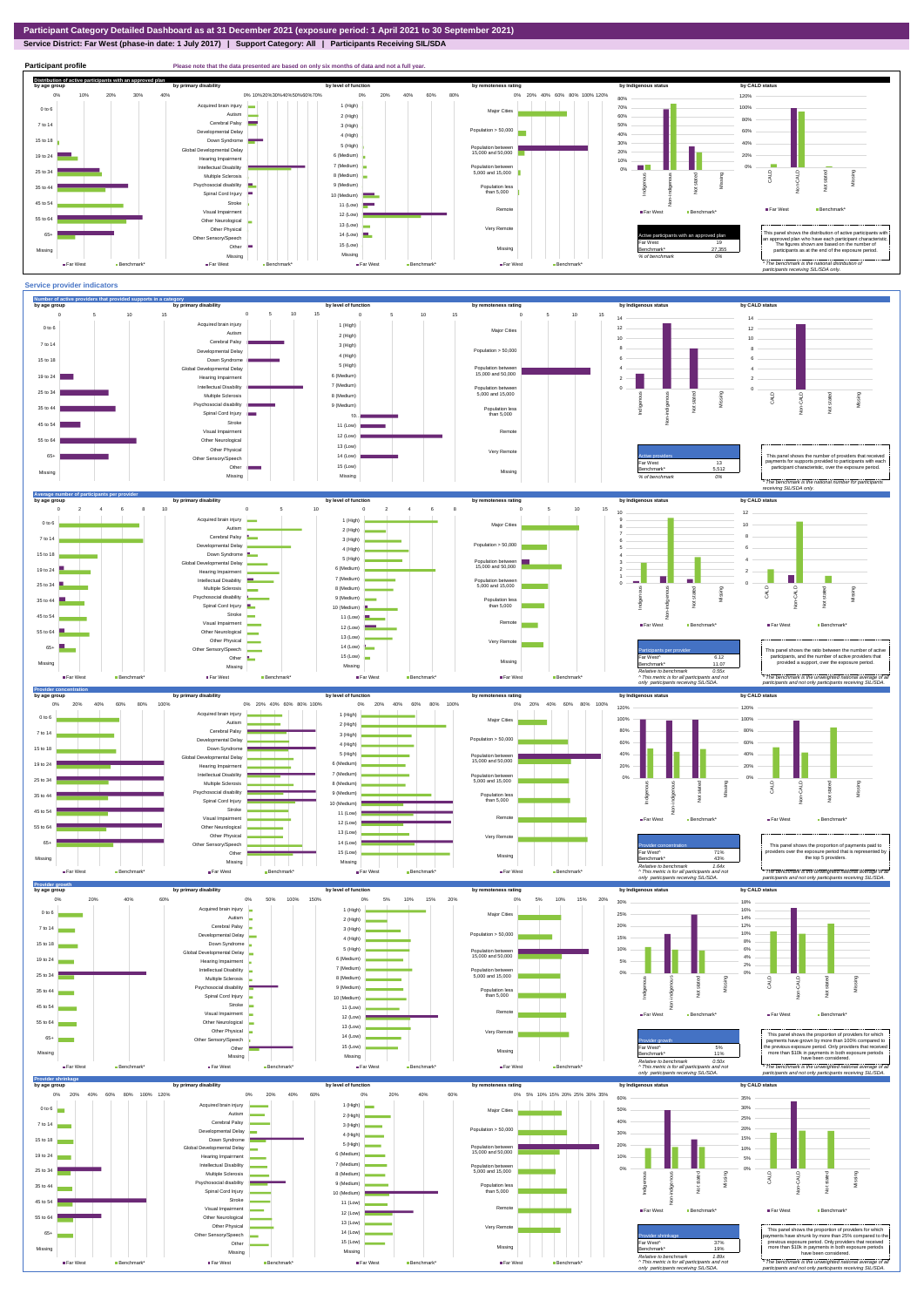## **Service District: Far West (phase-in date: 1 July 2017) | Support Category: All | Participants Receiving SIL/SDA**



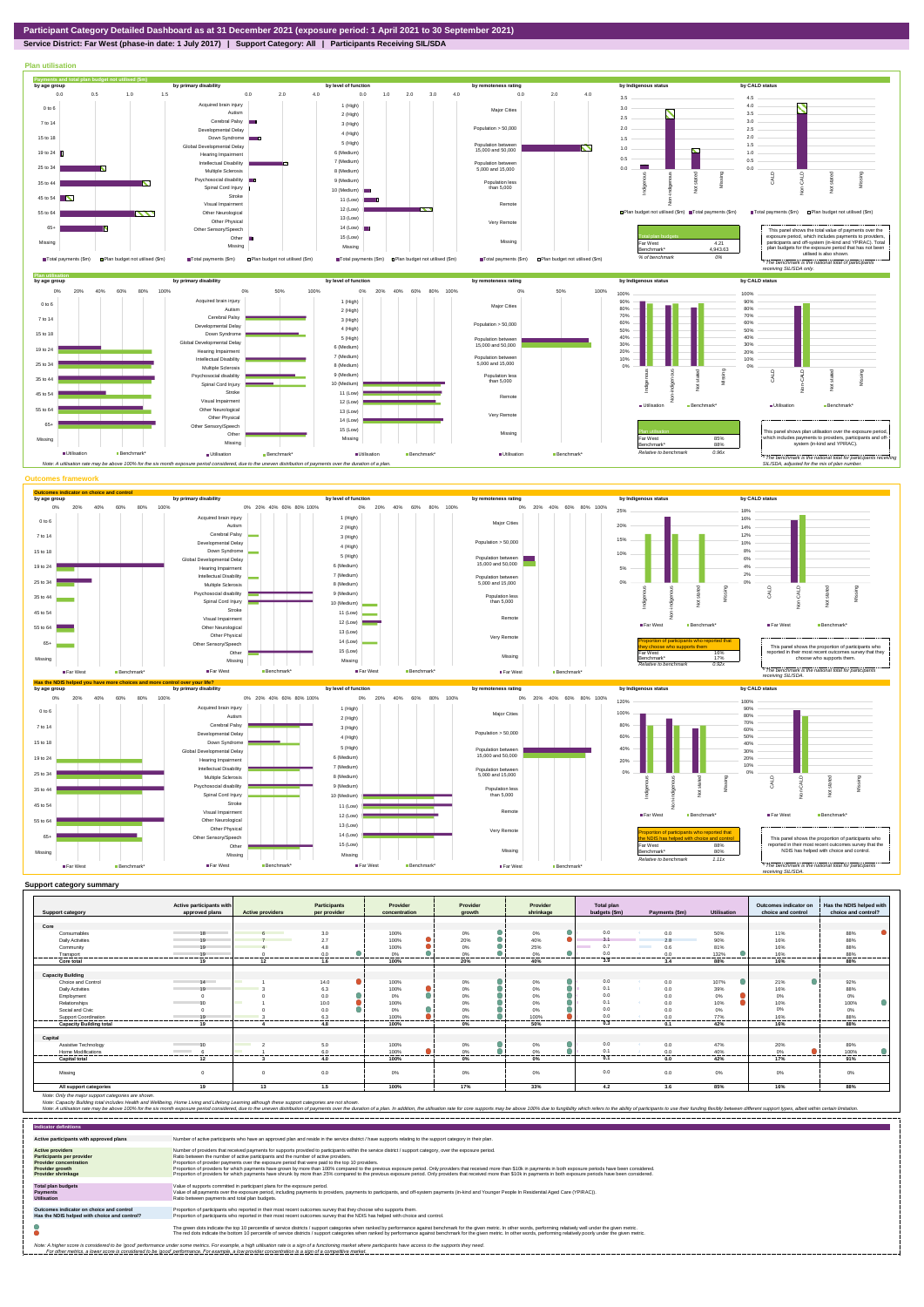## **Service District: Far West (phase-in date: 1 July 2017) | Support Category: All | Participants Receiving SIL/SDA**



|                                                             | Active participants with |                          | <b>Participants</b> | Provider         | Provider           | Provider           | <b>Total plan</b>       |                |                 | Outcomes indicator on      | Has the NDIS helped with |
|-------------------------------------------------------------|--------------------------|--------------------------|---------------------|------------------|--------------------|--------------------|-------------------------|----------------|-----------------|----------------------------|--------------------------|
| <b>Support category</b>                                     | approved plans           | <b>Active providers</b>  | per provider        | concentration    | arowth             | shrinkage          | budgets (\$m)           | Payments (\$m) | Utilisation     | choice and control         | choice and control?      |
|                                                             |                          |                          |                     |                  |                    |                    |                         |                |                 |                            |                          |
| Core                                                        |                          |                          |                     |                  |                    |                    |                         |                |                 |                            |                          |
| Consumables                                                 | 18                       |                          | 3.0                 | 100%             | 0%                 | $0\%$<br>$\bullet$ | 0.0                     | 0.0            | 50%             | 11%                        | 88%                      |
| <b>Daily Activities</b>                                     | 10                       |                          | 2.7                 | 100%             | 20%                | 40%                | 3.1                     | 2.8            | 90%             | 16%                        | 88%                      |
| Community                                                   | 10                       |                          | 4.8                 | 100%             | 0%                 | 25%                | 0.7                     | 0.6            | 81%             | 16%                        | 88%                      |
| Transport                                                   | 19<br>                   | -------                  | 0.0<br>---------    | 0%<br>.          | 0%<br>----------   | 0%<br>.<br>------  | 0.0<br>                 | 0.0<br>.       | 132%<br>------- | 16%<br>                    | 88%<br>-----------       |
| Core total                                                  | 19                       | 12                       | 1.6                 | 100%             | 20%                | 40%                | 3.9                     | 3.4            | 88%             | 16%                        | 88%                      |
|                                                             |                          |                          |                     |                  |                    |                    |                         |                |                 |                            |                          |
| <b>Capacity Building</b>                                    |                          |                          |                     |                  |                    |                    |                         |                |                 |                            |                          |
| Choice and Control                                          | 14                       |                          | 14.0                | 100%             | $0\%$<br>$\bullet$ | 0%                 | 0.0                     | 0.0            | 107%            | Ο<br>21%                   | 92%                      |
| <b>Daily Activities</b>                                     | 10                       |                          | 6.3                 | 100%             | $0\%$              | 0%                 | 0.1                     | 0.0            | 39%             | 16%                        | 88%                      |
| Employment                                                  |                          |                          | 0.0                 | 0%               | 0%                 | 0%                 | 0.0                     | 0.0            | 0%              | 0%                         | 0%                       |
| Relationships                                               | 10                       | ٠                        | 10.0                | 100%             | 0%                 | 0%                 | 0.1                     | 0.0            | 10%             | 10%                        | 100%                     |
| Social and Civic                                            |                          |                          | 0 <sub>0</sub>      | 0%               | $0\%$              | 0%                 | 0.0                     | 0.0            | 0%              | 0%                         | 0%                       |
| Support Coordination                                        | 10<br>.                  |                          | 6.3<br>-------      | 100%             | 0%                 | 100%               | 0 <sub>0</sub>          | 0.0            | 77%             | 16%                        | 88%                      |
| <b>Capacity Building total</b>                              | 19                       |                          | 4.8                 | 100%             | 0%                 | 50%                | 0.3                     | 0.1            | 42%             | 16%                        | 88%                      |
|                                                             |                          |                          |                     |                  |                    |                    |                         |                |                 |                            |                          |
| Capital                                                     |                          |                          |                     |                  |                    |                    |                         |                |                 |                            |                          |
| Assistive Technology                                        | 10                       | <b>Contract Contract</b> | 5.0                 | 100%             | 0%                 | 0%                 | 0.0                     | 0.0            | 47%             | 20%                        | 89%                      |
| <b>Home Modifications</b><br>------------------------------ | <b>Contract Contract</b> |                          | 6.0<br>.            | 100%<br>-------- | 0%<br>.<br>------- | 0%<br><br>         | $\Omega$<br>----------- | 0.0<br>        | 40%<br>-------- | 0%<br>--------<br>-------- | 100%<br>-------          |
| <b>Capital total</b>                                        | 12                       |                          | 4.0                 | 100%             | 0%                 | 0%                 | 0.1                     | 0.0            | 42%             | 17%                        | 91%                      |
|                                                             |                          |                          |                     |                  |                    |                    |                         |                |                 |                            |                          |
| Missing                                                     |                          |                          | 0.0                 | 0%               | 0%                 | 0%                 | 0.0                     | 0.0            | $0\%$           | 0%                         | 0%                       |
| All support categories                                      | 19                       | 13                       | 1.5                 | 100%             | 17%                | 33%                | 4.2                     | 3.6            | 85%             | 16%                        | 88%                      |

Note: Only the major support categories are shown.<br>Note: Capacity Building total individual Wellbeing, Home Living and Lifelong Learning although these support categories are not shown.<br>Note: A utilisation rate may be abov

| <b>Indicator definitions</b>                                                                                                                 |                                                                                                                                                                                                                                                                                                                                                                                                                                                                                                                                                                                                                                                                                                                                                                                                                 |
|----------------------------------------------------------------------------------------------------------------------------------------------|-----------------------------------------------------------------------------------------------------------------------------------------------------------------------------------------------------------------------------------------------------------------------------------------------------------------------------------------------------------------------------------------------------------------------------------------------------------------------------------------------------------------------------------------------------------------------------------------------------------------------------------------------------------------------------------------------------------------------------------------------------------------------------------------------------------------|
| Active participants with approved plans                                                                                                      | Number of active participants who have an approved plan and reside in the service district / have supports relating to the support category in their plan.                                                                                                                                                                                                                                                                                                                                                                                                                                                                                                                                                                                                                                                      |
| <b>Active providers</b><br>Participants per provider<br><b>Provider concentration</b><br><b>Provider growth</b><br><b>Provider shrinkage</b> | Number of providers that received payments for supports provided to participants within the service district / support category, over the exposure period,<br>Ratio between the number of active participants and the number of active providers.<br>Proportion of provider payments over the exposure period that were paid to the top 10 providers.<br>Proportion of providers for which payments have grown by more than 100% compared to the previous exposure period. Only providers that received more than \$10k in payments in both exposure periods have been considered.<br>Proportion of providers for which payments have shrunk by more than 25% compared to the previous exposure period. Only providers that received more than \$10k in payments in both exposure periods have been considered. |
| <b>Total plan budgets</b><br><b>Payments</b><br><b>Utilisation</b>                                                                           | Value of supports committed in participant plans for the exposure period.<br>Value of all payments over the exposure period, including payments to providers, payments to participants, and off-system payments (in-kind and Younger People In Residential Aged Care (YPIRAC)).<br>Ratio between payments and total plan budgets.                                                                                                                                                                                                                                                                                                                                                                                                                                                                               |
| Outcomes indicator on choice and control<br>Has the NDIS helped with choice and control?                                                     | Proportion of participants who reported in their most recent outcomes survey that they choose who supports them.<br>Proportion of participants who reported in their most recent outcomes survey that the NDIS has helped with choice and control.                                                                                                                                                                                                                                                                                                                                                                                                                                                                                                                                                              |
|                                                                                                                                              | The green dots indicate the top 10 percentile of service districts / support categories when ranked by performance against benchmark for the given metric. In other words, performing relatively well under the given metric.<br>The red dots indicate the bottom 10 percentile of service districts / support categories when ranked by performance against benchmark for the given metric. In other words, performing relatively poorly under the given metri                                                                                                                                                                                                                                                                                                                                                 |
|                                                                                                                                              | Note: A higher score is considered to be 'good' performance under some metrics. For example, a high utilisation rate is a sign of a functioning market where participants have access to the supports they need.<br>For other metrics, a lower score is considered to be 'good' performance. For example, a low provider concentration is a sign of a competitive market.                                                                                                                                                                                                                                                                                                                                                                                                                                       |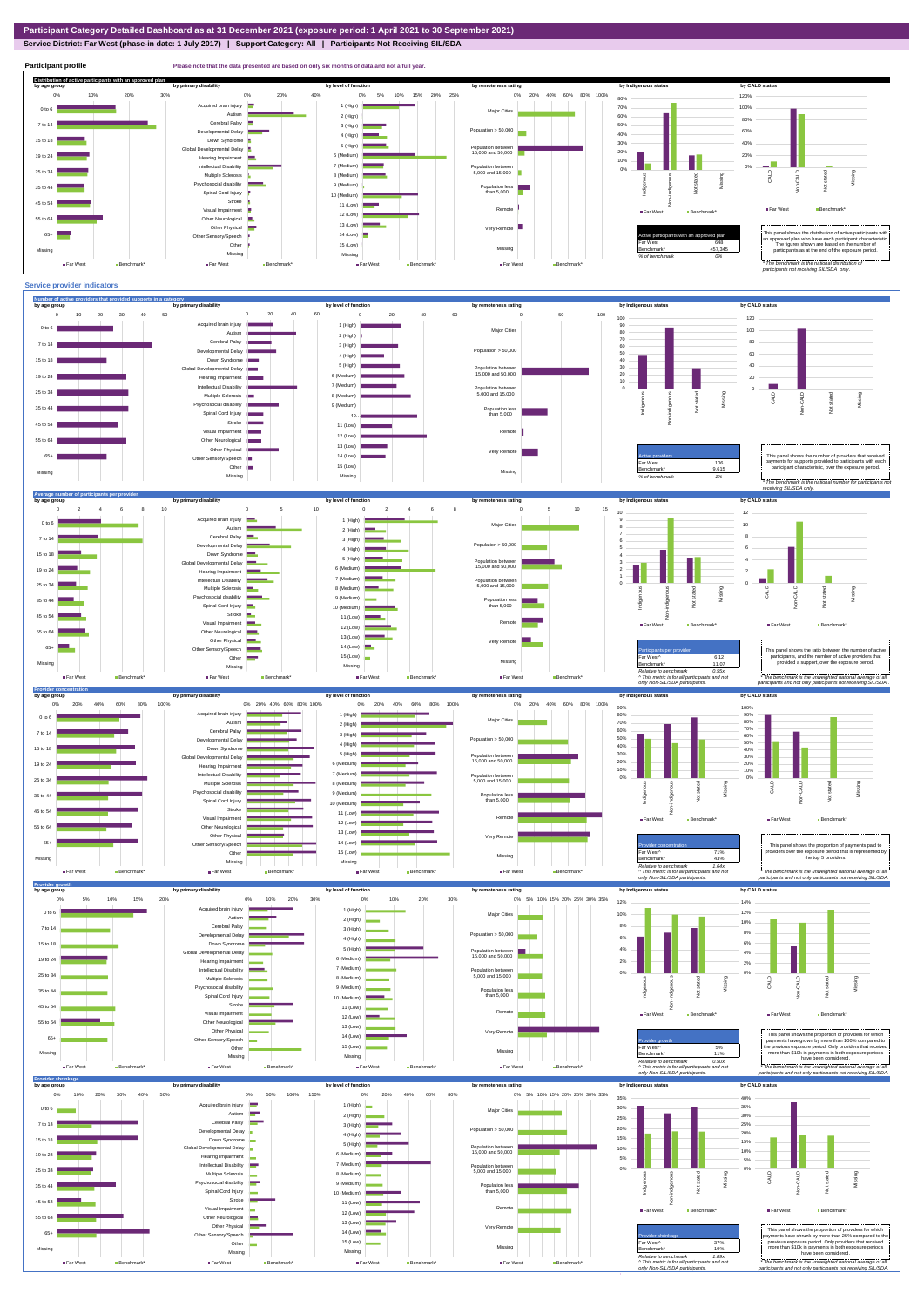**Service District: Far West (phase-in date: 1 July 2017) | Support Category: All | Participants Not Receiving SIL/SDA**